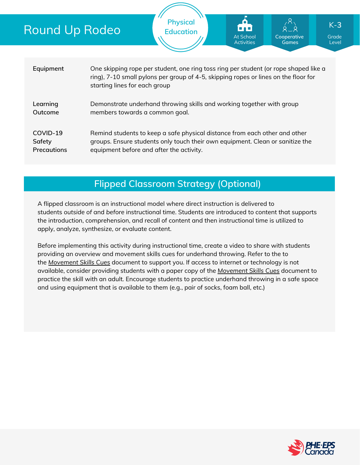| <b>Round Up Rodeo</b>                    |                                                                                                         | <b>Physical</b><br><b>Education</b>                                                                                                                                         | О<br>80 B<br>At School<br><b>Activities</b> | Cooperative<br><b>Games</b> | $K-3$<br>Grade<br>Level |  |  |  |
|------------------------------------------|---------------------------------------------------------------------------------------------------------|-----------------------------------------------------------------------------------------------------------------------------------------------------------------------------|---------------------------------------------|-----------------------------|-------------------------|--|--|--|
| Equipment                                | starting lines for each group                                                                           | One skipping rope per student, one ring toss ring per student (or rope shaped like a<br>ring), 7-10 small pylons per group of 4-5, skipping ropes or lines on the floor for |                                             |                             |                         |  |  |  |
| Learning<br>Outcome                      | Demonstrate underhand throwing skills and working together with group<br>members towards a common goal. |                                                                                                                                                                             |                                             |                             |                         |  |  |  |
| COVID-19<br>Safety<br><b>Precautions</b> | equipment before and after the activity.                                                                | Remind students to keep a safe physical distance from each other and other<br>groups. Ensure students only touch their own equipment. Clean or sanitize the                 |                                             |                             |                         |  |  |  |

## **Flipped Classroom Strategy (Optional)**

A flipped classroom is an instructional model where direct instruction is delivered to students *outside of* and *before* instructional time. Students are introduced to content that supports the introduction, comprehension, and recall of content and then instructional time is utilized to apply, analyze, synthesize, or evaluate content.

Before implementing this activity during instructional time, create a video to share with students providing an overview and movement skills cues for underhand throwing. Refer to the to the *[Movement](https://phecanada.ca/sites/default/files/content/docs/Home%20Learning%20Resource/Movement%20Cues/Movement%20Skills%20Cues%201.pdf) Skills Cues* document to support you. If access to internet or technology is not available, consider providing students with a paper copy of the *[Movement](https://phecanada.ca/sites/default/files/content/docs/Home%20Learning%20Resource/Movement%20Cues/Movement%20Skills%20Cues%201.pdf) Skills Cues* document to practice the skill with an adult. Encourage students to practice underhand throwing in a safe space and using equipment that is available to them (e.g., pair of socks, foam ball, etc.)

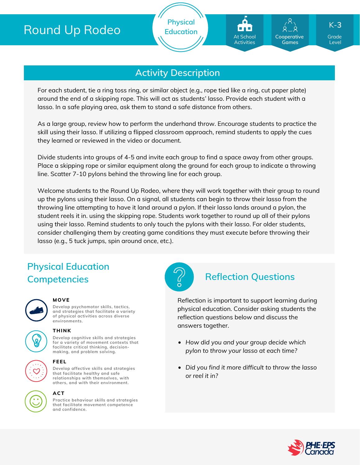# Round Up Rodeo





**Cooperative Games**

Grade K-**3**

Level

## **Activity Description**

For each student, tie a ring toss ring, or similar object (e.g., rope tied like a ring, cut paper plate) around the end of a skipping rope. This will act as students' lasso. Provide each student with a lasso. In a safe playing area, ask them to stand a safe distance from others.

As a large group, review how to perform the underhand throw. Encourage students to practice the skill using their lasso. If utilizing a flipped classroom approach, remind students to apply the cues they learned or reviewed in the video or document.

Divide students into groups of 4-5 and invite each group to find a space away from other groups. Place a skipping rope or similar equipment along the ground for each group to indicate a throwing line. Scatter 7-10 pylons behind the throwing line for each group.

Welcome students to the Round Up Rodeo, where they will work together with their group to round up the pylons using their lasso. On a signal, all students can begin to throw their lasso from the throwing line attempting to have it land around a pylon. If their lasso lands around a pylon, the student reels it in. using the skipping rope. Students work together to round up all of their pylons using their lasso. Remind students to only touch the pylons with their lasso. For older students, consider challenging them by creating game conditions they must execute before throwing their lasso (e.g., 5 tuck jumps, spin around once, etc.).

# **Physical Education Competencies Reflection Questions**



#### **MOVE**

**Develop psychomotor skills, tactics, and strategies that facilitate a variety of physical activities across diverse environments.**



#### **THINK**

**Develop cognitive skills and strategies for a variety of movement contexts that facilitate critical thinking, decision making, and problem solving.**

#### **FEEL**

**Develop affective skills and strategies that facilitate healthy and safe relationships with themselves, with others, and with their environment.**

#### **ACT**

**Practice behaviour skills and strategies that facilitate movement competence and confidence.**



Reflection is important to support learning during physical education. Consider asking students the reflection questions below and discuss the answers together.

- *How did you and your group decide which pylon to throw your lasso at each time?*
- *Did you find it more difficult to throw the lasso or reel it in?*